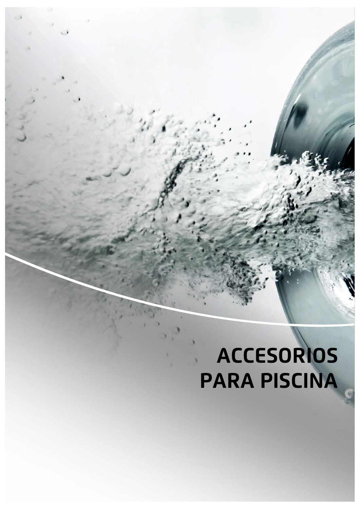## **ACCESORIOS PARA PISCINA**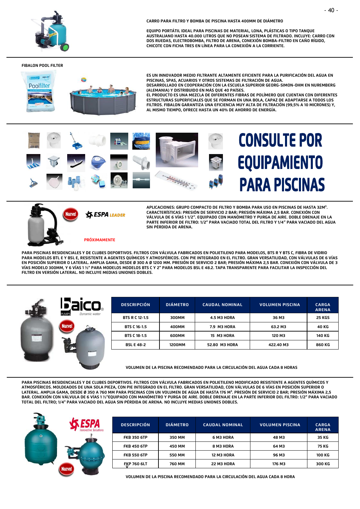

**CARRO PARA FILTRO Y BOMBA DE PISCINA HASTA 400MM DE DIÁMETRO** 

**EQUIPO PORTÁTIL IDEAL PARA PISCINAS DE MATERIAL, LONA, PLÁSTICAS O TIPO TANQUE AUSTRALIANO HASTA 40.000 LITROS QUE NO POSEAN SISTEMA DE FILTRADO. INCLUYE: CARRO CON DOS RUEDAS, ELECTROBOMBA, FILTRO DE ARENA, CONEXIÓN BOMBA-FILTRO EN CAÑO RÍGIDO, CHICOTE CON FICHA TRES EN LÍNEA PARA LA CONEXIÓN A LA CORRIENTE.**

## **FIBALON POOL FILTER**



**ES UN INNOVADOR MEDIO FILTRANTE ALTAMENTE EFICIENTE PARA LA PURIFICACIÓN DEL AGUA EN PISCINAS, SPAS, ACUARIOS Y OTROS SISTEMAS DE FILTRACIÓN DE AGUA. DESARROLLADO EN COOPERACIÓN CON LA ESCUELA SUPERIOR GEORG-SIMON-OHM EN NUREMBERG (ALEMANIA) Y DISTRIBUIDO EN MÁS QUE 40 PAÍSES.**

**EL PRODUCTO ES UNA MEZCLA DE DIFERENTES FIBRAS DE POLÍMERO QUE CUENTAN CON DIFERENTES ESTRUCTURAS SUPERFICIALES QUE SE FORMAN EN UNA BOLA, CAPAZ DE ADAPTARSE A TODOS LOS FILTROS. FIBALON GARANTIZA UNA EFICIENCIA MUY ALTA DE FILTRACIÓN (99,5% A 10 MICRONES) Y, AL MISMO TIEMPO, OFRECE HASTA UN 40% DE AHORRO DE ENERGÍA.**





**S ESPA LEADER** 

**APLICACIONES: GRUPO COMPACTO DE FILTRO Y BOMBA PARA USO EN PISCINAS DE HASTA 32M³. CARACTERÍSTICAS: PRESIÓN DE SERVICIO 2 BAR; PRESIÓN MÁXIMA 2,5 BAR. CONEXIÓN CON VÁLVULA DE 6 VÍAS 1 1/2". EQUIPADO CON MANÓMETRO Y PURGA DE AIRE. DOBLE DRENAJE EN LA PARTE INFERIOR DE FILTRO: 1/2" PARA VACIADO TOTAL DEL FILTRO Y 1/4" PARA VACIADO DEL AGUA SIN PÉRDIDA DE ARENA.**

## **PRÓXIMAMENTE**

**PARA PISCINAS RESIDENCIALES Y DE CLUBES DEPORTIVOS. FILTROS CON VÁLVULA FABRICADOS EN POLIETILENO PARA MODELOS, BTS R Y BTS C, FIBRA DE VIDRIO PARA MODELOS BTL E Y BSL E, RESISTENTE A AGENTES QUÍMICOS Y ATMOSFÉRICOS. CON PIE INTEGRADO EN EL FILTRO. GRAN VERSATILIDAD, CON VÁLVULAS DE 6 VÍAS EN POSICIÓN SUPERIOR O LATERAL. AMPLIA GAMA, DESDE Ø 300 A Ø 1200 MM. PRESIÓN DE SERVICIO 2 BAR; PRESIÓN MÁXIMA 2,5 BAR. CONEXIÓN CON VÁLVULA DE 3 VÍAS MODELO 300MM, Y 6 VÍAS 1 ½" PARA MODELOS MODELOS BTS C Y 2" PARA MODELOS BSL E 48.2. TAPA TRANSPARENTE PARA FACILITAR LA INSPECCIÓN DEL FILTRO EN VERSIÓN LATERAL. NO INCLUYE MEDIAS UNIONES DOBLES.**



| <b>DESCRIPCIÓN</b>    | <b>DIÁMETRO</b> | <b>CAUDAL NOMINAL</b> | <b>VOLUMEN PISCINA</b> | <b>CARGA</b><br><b>ARENA</b> |
|-----------------------|-----------------|-----------------------|------------------------|------------------------------|
| <b>BTS R C 12-1.5</b> | 300MM           | <b>4.5 M3 HORA</b>    | 36 M3                  | <b>25 KGS</b>                |
| BTS C 16-1.5          | 400MM           | 7.9 M3 HORA           | 63.2 M3                | 40 KG                        |
| BTS C 18-1.5          | 600MM           | <b>15 M3 HORA</b>     | 120 M3                 | 140 KG                       |
| <b>BSL E 48-2</b>     | 1200MM          | 52.80 M3 HORA         | 422.40 M3              | 860 KG                       |

**VOLUMEN DE LA PISCINA RECOMENDADO PARA LA CIRCULACIÓN DEL AGUA CADA 8 HORAS**

**PARA PISCINAS RESIDENCIALES Y DE CLUBES DEPORTIVOS. FILTROS CON VÁLVULA FABRICADOS EN POLIETILENO MODIFICADO RESISTENTE A AGENTES QUÍMICOS Y ATMOSFÉRICOS. MOLDEADOS DE UNA SOLA PIEZA, CON PIE INTEGRADO EN EL FILTRO. GRAN VERSATILIDAD, CON VÁLVULAS DE 6 VÍAS EN POSICIÓN SUPERIOR O LATERAL. AMPLIA GAMA, DESDE Ø 350 A 760 MM PARA PISCINAS CON UN VOLUMEN DE AGUA DE HASTA 176 M³. PRESIÓN DE SERVICIO 2 BAR; PRESIÓN MÁXIMA 2,5 BAR. CONEXIÓN CON VÁLVULA DE 6 VÍAS 1 ½"EQUIPADO CON MANÓMETRO Y PURGA DE AIRE. DOBLE DRENAJE EN LA PARTE INFERIOR DEL FILTRO: 1/2" PARA VACIADO TOTAL DEL FILTRO; 1/4" PARA VACIADO DEL AGUA SIN PÉRDIDA DE ARENA. NO INCLUYE MEDIAS UNIONES DOBLES.**



| <b>DESCRIPCIÓN</b> | <b>DIÁMETRO</b> | <b>CAUDAL NOMINAL</b> | <b>VOLUMEN PISCINA</b> | <b>CARGA</b><br><b>ARENA</b> |
|--------------------|-----------------|-----------------------|------------------------|------------------------------|
| <b>FKB 350 6TP</b> | 350 MM          | 6 M3 HORA             | 48 M3                  | 35 KG                        |
| <b>FKB 450 6TP</b> | 450 MM          | 8 M3 HORA             | 64 M3                  | 75 KG                        |
| <b>FKB 550 6TP</b> | 550 MM          | <b>12 M3 HORA</b>     | 96 M3                  | 100 KG                       |
| <b>FKP 760 6LT</b> | 760 MM          | 22 M3 HORA            | 176 M3                 | 300 KG                       |

**VOLUMEN DE LA PISCINA RECOMENDADO PARA LA CIRCULACIÓN DEL AGUA CADA 8 HORA**